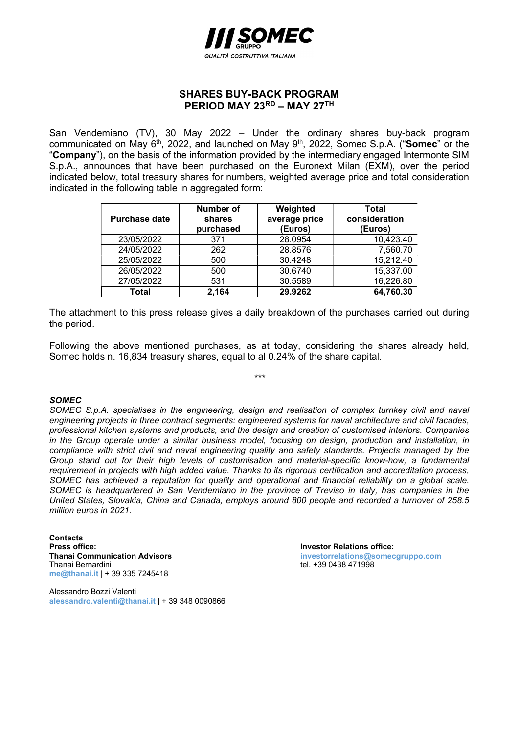

## SHARES BUY-BACK PROGRAM PERIOD MAY 23RD - MAY 27TH

San Vendemiano (TV), 30 May 2022 – Under the ordinary shares buy-back program communicated on May 6<sup>th</sup>, 2022, and launched on May 9<sup>th</sup>, 2022, Somec S.p.A. ("Somec" or the "Company"), on the basis of the information provided by the intermediary engaged Intermonte SIM S.p.A., announces that have been purchased on the Euronext Milan (EXM), over the period indicated below, total treasury shares for numbers, weighted average price and total consideration indicated in the following table in aggregated form:

| <b>Purchase date</b> | Number of<br>shares<br>purchased | Weighted<br>average price<br>(Euros) | Total<br>consideration<br>(Euros) |
|----------------------|----------------------------------|--------------------------------------|-----------------------------------|
| 23/05/2022           | 371                              | 28.0954                              | 10,423.40                         |
| 24/05/2022           | 262                              | 28.8576                              | 7,560.70                          |
| 25/05/2022           | 500                              | 30.4248                              | 15,212.40                         |
| 26/05/2022           | 500                              | 30.6740                              | 15,337.00                         |
| 27/05/2022           | 531                              | 30.5589                              | 16,226.80                         |
| Total                | 2,164                            | 29.9262                              | 64,760.30                         |

The attachment to this press release gives a daily breakdown of the purchases carried out during the period.

Following the above mentioned purchases, as at today, considering the shares already held, Somec holds n. 16,834 treasury shares, equal to al 0.24% of the share capital.

\*\*\*

## SOMEC

SOMEC S.p.A. specialises in the engineering, design and realisation of complex turnkey civil and naval engineering projects in three contract segments: engineered systems for naval architecture and civil facades, professional kitchen systems and products, and the design and creation of customised interiors. Companies in the Group operate under a similar business model, focusing on design, production and installation, in compliance with strict civil and naval engineering quality and safety standards. Projects managed by the Group stand out for their high levels of customisation and material-specific know-how, a fundamental requirement in projects with high added value. Thanks to its rigorous certification and accreditation process, SOMEC has achieved a reputation for quality and operational and financial reliability on a global scale. SOMEC is headquartered in San Vendemiano in the province of Treviso in Italy, has companies in the United States, Slovakia, China and Canada, employs around 800 people and recorded a turnover of 258.5 million euros in 2021.

**Contacts** Press office:<br>
Thanai Communication Advisors<br>
Thanai Communication Advisors<br>
Thanai Communication Advisors Thanai Bernardini **tel. +39 0438 471998** me@thanai.it | + 39 335 7245418

Alessandro Bozzi Valenti alessandro.valenti@thanai.it | + 39 348 0090866 investorrelations@somecgruppo.com